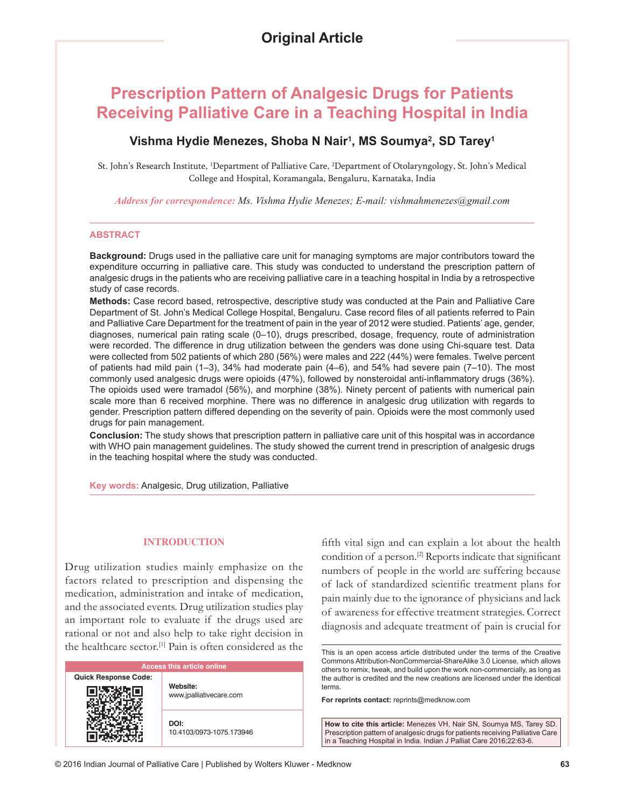# **Prescription Pattern of Analgesic Drugs for Patients Receiving Palliative Care in a Teaching Hospital in India**

# **Vishma Hydie Menezes, Shoba N Nair1 , MS Soumya2 , SD Tarey1**

St. John's Research Institute, 1 Department of Palliative Care, 2 Department of Otolaryngology, St. John's Medical College and Hospital, Koramangala, Bengaluru, Karnataka, India

*Address for correspondence: Ms. Vishma Hydie Menezes; E‑mail: vishmahmenezes@gmail.com*

#### **ABSTRACT**

**Background:** Drugs used in the palliative care unit for managing symptoms are major contributors toward the expenditure occurring in palliative care. This study was conducted to understand the prescription pattern of analgesic drugs in the patients who are receiving palliative care in a teaching hospital in India by a retrospective study of case records.

**Methods:** Case record based, retrospective, descriptive study was conducted at the Pain and Palliative Care Department of St. John's Medical College Hospital, Bengaluru. Case record files of all patients referred to Pain and Palliative Care Department for the treatment of pain in the year of 2012 were studied. Patients' age, gender, diagnoses, numerical pain rating scale (0–10), drugs prescribed, dosage, frequency, route of administration were recorded. The difference in drug utilization between the genders was done using Chi-square test. Data were collected from 502 patients of which 280 (56%) were males and 222 (44%) were females. Twelve percent of patients had mild pain (1–3), 34% had moderate pain (4–6), and 54% had severe pain (7–10). The most commonly used analgesic drugs were opioids (47%), followed by nonsteroidal anti‑inflammatory drugs (36%). The opioids used were tramadol (56%), and morphine (38%). Ninety percent of patients with numerical pain scale more than 6 received morphine. There was no difference in analgesic drug utilization with regards to gender. Prescription pattern differed depending on the severity of pain. Opioids were the most commonly used drugs for pain management.

**Conclusion:** The study shows that prescription pattern in palliative care unit of this hospital was in accordance with WHO pain management guidelines. The study showed the current trend in prescription of analgesic drugs in the teaching hospital where the study was conducted.

**Key words:** Analgesic, Drug utilization, Palliative

#### **INTRODUCTION**

Drug utilization studies mainly emphasize on the factors related to prescription and dispensing the medication, administration and intake of medication, and the associated events. Drug utilization studies play an important role to evaluate if the drugs used are rational or not and also help to take right decision in the healthcare sector.[1] Pain is often considered as the

| <b>Access this article online</b> |                                     |  |  |
|-----------------------------------|-------------------------------------|--|--|
| <b>Quick Response Code:</b>       | Website:<br>www.jpalliativecare.com |  |  |
|                                   | DOI:<br>10.4103/0973-1075.173946    |  |  |

fifth vital sign and can explain a lot about the health condition of a person.[2] Reports indicate that significant numbers of people in the world are suffering because of lack of standardized scientific treatment plans for pain mainly due to the ignorance of physicians and lack of awareness for effective treatment strategies. Correct diagnosis and adequate treatment of pain is crucial for

**For reprints contact:** reprints@medknow.com

**How to cite this article:** Menezes VH, Nair SN, Soumya MS, Tarey SD. Prescription pattern of analgesic drugs for patients receiving Palliative Care in a Teaching Hospital in India. Indian J Palliat Care 2016;22:63-6.

This is an open access article distributed under the terms of the Creative Commons Attribution-NonCommercial-ShareAlike 3.0 License, which allows others to remix, tweak, and build upon the work non-commercially, as long as the author is credited and the new creations are licensed under the identical terms.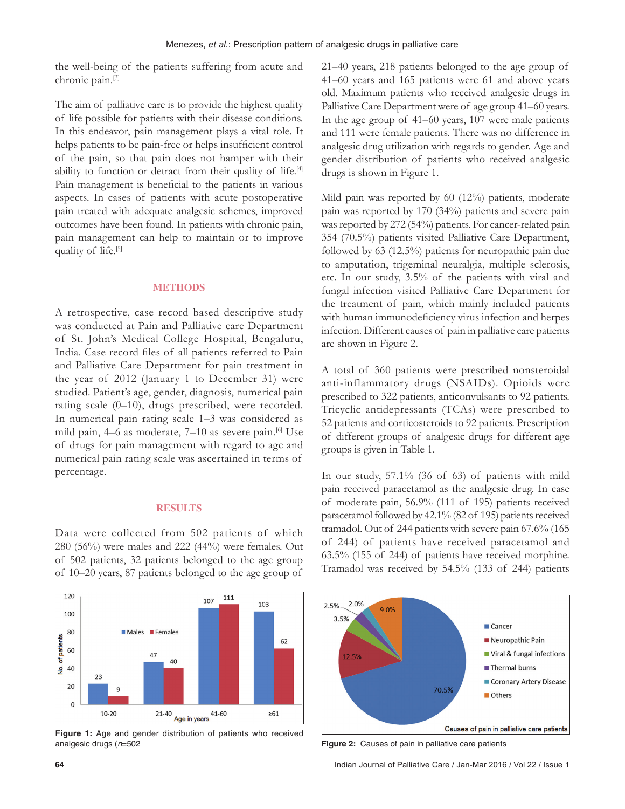the well-being of the patients suffering from acute and chronic pain.[3]

The aim of palliative care is to provide the highest quality of life possible for patients with their disease conditions. In this endeavor, pain management plays a vital role. It helps patients to be pain‑free or helps insufficient control of the pain, so that pain does not hamper with their ability to function or detract from their quality of life.<sup>[4]</sup> Pain management is beneficial to the patients in various aspects. In cases of patients with acute postoperative pain treated with adequate analgesic schemes, improved outcomes have been found. In patients with chronic pain, pain management can help to maintain or to improve quality of life.<sup>[5]</sup>

#### **METHODS**

A retrospective, case record based descriptive study was conducted at Pain and Palliative care Department of St. John's Medical College Hospital, Bengaluru, India. Case record files of all patients referred to Pain and Palliative Care Department for pain treatment in the year of 2012 (January 1 to December 31) were studied. Patient's age, gender, diagnosis, numerical pain rating scale (0–10), drugs prescribed, were recorded. In numerical pain rating scale 1–3 was considered as mild pain, 4–6 as moderate, 7–10 as severe pain.<sup>[6]</sup> Use of drugs for pain management with regard to age and numerical pain rating scale was ascertained in terms of percentage.

#### **RESULTS**

Data were collected from 502 patients of which 280 (56%) were males and 222 (44%) were females. Out of 502 patients, 32 patients belonged to the age group of 10–20 years, 87 patients belonged to the age group of



**Figure 1:** Age and gender distribution of patients who received analgesic drugs (*n*=502 **Figure 2:** Causes of pain in palliative care patients

21–40 years, 218 patients belonged to the age group of 41–60 years and 165 patients were 61 and above years old. Maximum patients who received analgesic drugs in Palliative Care Department were of age group 41–60 years. In the age group of 41–60 years, 107 were male patients and 111 were female patients. There was no difference in analgesic drug utilization with regards to gender. Age and gender distribution of patients who received analgesic drugs is shown in Figure 1.

Mild pain was reported by 60 (12%) patients, moderate pain was reported by 170 (34%) patients and severe pain was reported by 272 (54%) patients. For cancer-related pain 354 (70.5%) patients visited Palliative Care Department, followed by 63 (12.5%) patients for neuropathic pain due to amputation, trigeminal neuralgia, multiple sclerosis, etc. In our study, 3.5% of the patients with viral and fungal infection visited Palliative Care Department for the treatment of pain, which mainly included patients with human immunodeficiency virus infection and herpes infection. Different causes of pain in palliative care patients are shown in Figure 2.

A total of 360 patients were prescribed nonsteroidal anti-inflammatory drugs (NSAIDs). Opioids were prescribed to 322 patients, anticonvulsants to 92 patients. Tricyclic antidepressants (TCAs) were prescribed to 52 patients and corticosteroids to 92 patients. Prescription of different groups of analgesic drugs for different age groups is given in Table 1.

In our study, 57.1% (36 of 63) of patients with mild pain received paracetamol as the analgesic drug. In case of moderate pain, 56.9% (111 of 195) patients received paracetamol followed by  $42.1\%$  (82 of 195) patients received tramadol. Out of 244 patients with severe pain 67.6% (165 of 244) of patients have received paracetamol and 63.5% (155 of 244) of patients have received morphine. Tramadol was received by 54.5% (133 of 244) patients

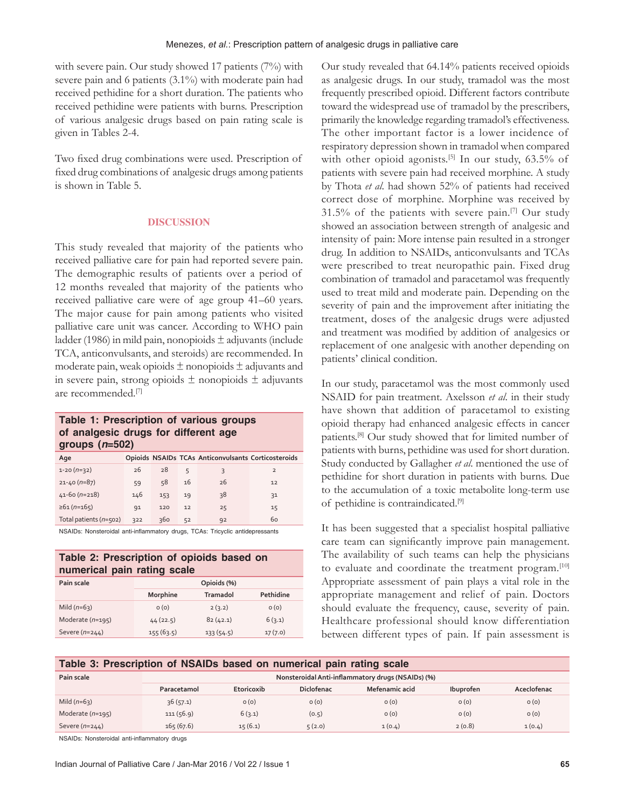with severe pain. Our study showed 17 patients (7%) with severe pain and 6 patients (3.1%) with moderate pain had received pethidine for a short duration. The patients who received pethidine were patients with burns. Prescription of various analgesic drugs based on pain rating scale is given in Tables 2‑4.

Two fixed drug combinations were used. Prescription of fixed drug combinations of analgesic drugs among patients is shown in Table 5.

#### **DISCUSSION**

This study revealed that majority of the patients who received palliative care for pain had reported severe pain. The demographic results of patients over a period of 12 months revealed that majority of the patients who received palliative care were of age group 41–60 years. The major cause for pain among patients who visited palliative care unit was cancer. According to WHO pain ladder (1986) in mild pain, nonopioids  $\pm$  adjuvants (include TCA, anticonvulsants, and steroids) are recommended. In moderate pain, weak opioids  $\pm$  nonopioids  $\pm$  adjuvants and in severe pain, strong opioids  $\pm$  nonopioids  $\pm$  adjuvants are recommended.[7]

## **Table 1: Prescription of various groups of analgesic drugs for different age groups (***n***=502)**

| Age                    |     |     |    | Opioids NSAIDs TCAs Anticonvulsants Corticosteroids |                |
|------------------------|-----|-----|----|-----------------------------------------------------|----------------|
| $1-20(n=32)$           | 26  | 28  | 5  | 3                                                   | $\overline{2}$ |
| $21 - 40(n=87)$        | 59  | 58  | 16 | 26                                                  | 12             |
| $41-60(n=218)$         | 146 | 153 | 19 | 38                                                  | 31             |
| $\geq 61(n=165)$       | 91  | 120 | 12 | 25                                                  | 15             |
| Total patients (n=502) | 322 | 360 | 52 | 92                                                  | 60             |

NSAIDs: Nonsteroidal anti-inflammatory drugs, TCAs: Tricyclic antidepressants

| Table 2: Prescription of opioids based on<br>numerical pain rating scale |             |           |           |  |  |
|--------------------------------------------------------------------------|-------------|-----------|-----------|--|--|
| Pain scale                                                               | Opioids (%) |           |           |  |  |
|                                                                          | Morphine    | Tramadol  | Pethidine |  |  |
| Mild $(n=63)$                                                            | O(0)        | 2(3.2)    | O(0)      |  |  |
| Moderate $(n=195)$                                                       | 44(22.5)    | 82(42.1)  | 6(3.1)    |  |  |
| Severe $(n=244)$                                                         | 155(63.5)   | 133(54.5) | 17(7.0)   |  |  |

Our study revealed that 64.14% patients received opioids as analgesic drugs. In our study, tramadol was the most frequently prescribed opioid. Different factors contribute toward the widespread use of tramadol by the prescribers, primarily the knowledge regarding tramadol's effectiveness. The other important factor is a lower incidence of respiratory depression shown in tramadol when compared with other opioid agonists.<sup>[5]</sup> In our study, 63.5% of patients with severe pain had received morphine. A study by Thota *et al*. had shown 52% of patients had received correct dose of morphine. Morphine was received by 31.5% of the patients with severe pain.<sup>[7]</sup> Our study showed an association between strength of analgesic and intensity of pain: More intense pain resulted in a stronger drug. In addition to NSAIDs, anticonvulsants and TCAs were prescribed to treat neuropathic pain. Fixed drug combination of tramadol and paracetamol was frequently used to treat mild and moderate pain. Depending on the severity of pain and the improvement after initiating the treatment, doses of the analgesic drugs were adjusted and treatment was modified by addition of analgesics or replacement of one analgesic with another depending on patients' clinical condition.

In our study, paracetamol was the most commonly used NSAID for pain treatment. Axelsson *et al*. in their study have shown that addition of paracetamol to existing opioid therapy had enhanced analgesic effects in cancer patients.[8] Our study showed that for limited number of patients with burns, pethidine was used for short duration. Study conducted by Gallagher *et al*. mentioned the use of pethidine for short duration in patients with burns. Due to the accumulation of a toxic metabolite long‑term use of pethidine is contraindicated.[9]

It has been suggested that a specialist hospital palliative care team can significantly improve pain management. The availability of such teams can help the physicians to evaluate and coordinate the treatment program.<sup>[10]</sup> Appropriate assessment of pain plays a vital role in the appropriate management and relief of pain. Doctors should evaluate the frequency, cause, severity of pain. Healthcare professional should know differentiation between different types of pain. If pain assessment is

#### **Table 3: Prescription of NSAIDs based on numerical pain rating scale**

| Pain scale         | Nonsteroidal Anti-inflammatory drugs (NSAIDs) (%) |            |                   |                |           |             |
|--------------------|---------------------------------------------------|------------|-------------------|----------------|-----------|-------------|
|                    | Paracetamol                                       | Etoricoxib | <b>Diclofenac</b> | Mefenamic acid | Ibuprofen | Aceclofenac |
| Mild $(n=63)$      | 36(57.1)                                          | O(0)       | O(0)              | O(0)           | O(0)      | O(0)        |
| Moderate $(n=195)$ | 111(56.9)                                         | 6(3.1)     | (0.5)             | O(0)           | O(0)      | O(0)        |
| Severe $(n=244)$   | 165(67.6)                                         | 15(6.1)    | 5(2.0)            | 1(0.4)         | 2(0.8)    | 1(0.4)      |

NSAIDs: Nonsteroidal anti‑inflammatory drugs